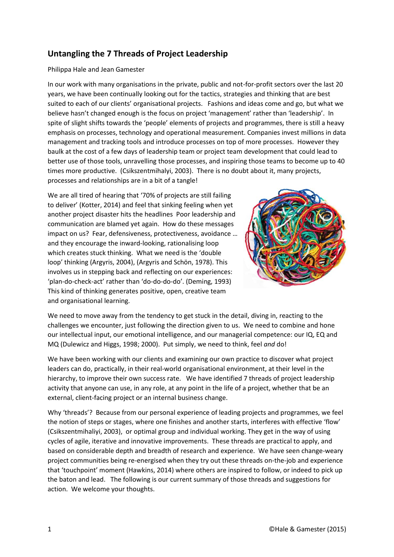# **Untangling the 7 Threads of Project Leadership**

## Philippa Hale and Jean Gamester

In our work with many organisations in the private, public and not-for-profit sectors over the last 20 years, we have been continually looking out for the tactics, strategies and thinking that are best suited to each of our clients' organisational projects. Fashions and ideas come and go, but what we believe hasn't changed enough is the focus on project 'management' rather than 'leadership'. In spite of slight shifts towards the 'people' elements of projects and programmes, there is still a heavy emphasis on processes, technology and operational measurement. Companies invest millions in data management and tracking tools and introduce processes on top of more processes. However they baulk at the cost of a few days of leadership team or project team development that could lead to better use of those tools, unravelling those processes, and inspiring those teams to become up to 40 times more productive. (Csikszentmihalyi, 2003). There is no doubt about it, many projects, processes and relationships are in a bit of a tangle!

We are all tired of hearing that '70% of projects are still failing to deliver' (Kotter, 2014) and feel that sinking feeling when yet another project disaster hits the headlines Poor leadership and communication are blamed yet again. How do these messages impact on us? Fear, defensiveness, protectiveness, avoidance … and they encourage the inward-looking, rationalising loop which creates stuck thinking. What we need is the 'double loop' thinking (Argyris, 2004), (Argyris and Schön, 1978). This involves us in stepping back and reflecting on our experiences: 'plan-do-check-act' rather than 'do-do-do-do'. (Deming, 1993) This kind of thinking generates positive, open, creative team and organisational learning.



We need to move away from the tendency to get stuck in the detail, diving in, reacting to the challenges we encounter, just following the direction given to us. We need to combine and hone our intellectual input, our emotional intelligence, and our managerial competence: our IQ, EQ and MQ (Dulewicz and Higgs, 1998; 2000). Put simply, we need to think, feel *and* do!

We have been working with our clients and examining our own practice to discover what project leaders can do, practically, in their real-world organisational environment, at their level in the hierarchy, to improve their own success rate. We have identified 7 threads of project leadership activity that anyone can use, in any role, at any point in the life of a project, whether that be an external, client-facing project or an internal business change.

Why 'threads'? Because from our personal experience of leading projects and programmes, we feel the notion of steps or stages, where one finishes and another starts, interferes with effective 'flow' (Csikszentmihaliyi, 2003), or optimal group and individual working. They get in the way of using cycles of agile, iterative and innovative improvements. These threads are practical to apply, and based on considerable depth and breadth of research and experience. We have seen change-weary project communities being re-energised when they try out these threads on-the-job and experience that 'touchpoint' moment (Hawkins, 2014) where others are inspired to follow, or indeed to pick up the baton and lead. The following is our current summary of those threads and suggestions for action. We welcome your thoughts.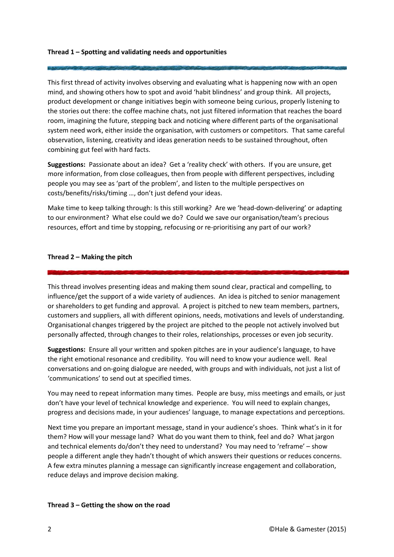### **Thread 1 – Spotting and validating needs and opportunities**

This first thread of activity involves observing and evaluating what is happening now with an open mind, and showing others how to spot and avoid 'habit blindness' and group think. All projects, product development or change initiatives begin with someone being curious, properly listening to the stories out there: the coffee machine chats, not just filtered information that reaches the board room, imagining the future, stepping back and noticing where different parts of the organisational system need work, either inside the organisation, with customers or competitors. That same careful observation, listening, creativity and ideas generation needs to be sustained throughout, often combining gut feel with hard facts.

**Suggestions:** Passionate about an idea? Get a 'reality check' with others. If you are unsure, get more information, from close colleagues, then from people with different perspectives, including people you may see as 'part of the problem', and listen to the multiple perspectives on costs/benefits/risks/timing …, don't just defend your ideas.

Make time to keep talking through: Is this still working? Are we 'head-down-delivering' or adapting to our environment? What else could we do? Could we save our organisation/team's precious resources, effort and time by stopping, refocusing or re-prioritising any part of our work?

### **Thread 2 – Making the pitch**

This thread involves presenting ideas and making them sound clear, practical and compelling, to influence/get the support of a wide variety of audiences. An idea is pitched to senior management or shareholders to get funding and approval. A project is pitched to new team members, partners, customers and suppliers, all with different opinions, needs, motivations and levels of understanding. Organisational changes triggered by the project are pitched to the people not actively involved but personally affected, through changes to their roles, relationships, processes or even job security.

**Suggestions:** Ensure all your written and spoken pitches are in your audience's language, to have the right emotional resonance and credibility. You will need to know your audience well. Real conversations and on-going dialogue are needed, with groups and with individuals, not just a list of 'communications' to send out at specified times.

You may need to repeat information many times. People are busy, miss meetings and emails, or just don't have your level of technical knowledge and experience. You will need to explain changes, progress and decisions made, in your audiences' language, to manage expectations and perceptions.

Next time you prepare an important message, stand in your audience's shoes. Think what's in it for them? How will your message land? What do you want them to think, feel and do? What jargon and technical elements do/don't they need to understand? You may need to 'reframe' – show people a different angle they hadn't thought of which answers their questions or reduces concerns. A few extra minutes planning a message can significantly increase engagement and collaboration, reduce delays and improve decision making.

#### **Thread 3 – Getting the show on the road**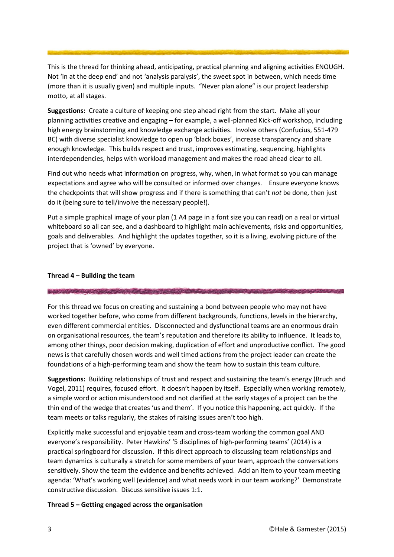This is the thread for thinking ahead, anticipating, practical planning and aligning activities ENOUGH. Not 'in at the deep end' and not 'analysis paralysis', the sweet spot in between, which needs time (more than it is usually given) and multiple inputs. "Never plan alone" is our project leadership motto, at all stages.

**Suggestions:** Create a culture of keeping one step ahead right from the start. Make all your planning activities creative and engaging – for example, a well-planned Kick-off workshop, including high energy brainstorming and knowledge exchange activities. Involve others (Confucius, 551-479 BC) with diverse specialist knowledge to open up 'black boxes', increase transparency and share enough knowledge. This builds respect and trust, improves estimating, sequencing, highlights interdependencies, helps with workload management and makes the road ahead clear to all.

Find out who needs what information on progress, why, when, in what format so you can manage expectations and agree who will be consulted or informed over changes. Ensure everyone knows the checkpoints that will show progress and if there is something that can't *not* be done, then just do it (being sure to tell/involve the necessary people!).

Put a simple graphical image of your plan (1 A4 page in a font size you can read) on a real or virtual whiteboard so all can see, and a dashboard to highlight main achievements, risks and opportunities, goals and deliverables. And highlight the updates together, so it is a living, evolving picture of the project that is 'owned' by everyone.

#### **Thread 4 – Building the team**

For this thread we focus on creating and sustaining a bond between people who may not have worked together before, who come from different backgrounds, functions, levels in the hierarchy, even different commercial entities. Disconnected and dysfunctional teams are an enormous drain on organisational resources, the team's reputation and therefore its ability to influence. It leads to, among other things, poor decision making, duplication of effort and unproductive conflict. The good news is that carefully chosen words and well timed actions from the project leader can create the foundations of a high-performing team and show the team how to sustain this team culture.

**Suggestions:** Building relationships of trust and respect and sustaining the team's energy (Bruch and Vogel, 2011) requires, focused effort. It doesn't happen by itself. Especially when working remotely, a simple word or action misunderstood and not clarified at the early stages of a project can be the thin end of the wedge that creates 'us and them'. If you notice this happening, act quickly. If the team meets or talks regularly, the stakes of raising issues aren't too high.

Explicitly make successful and enjoyable team and cross-team working the common goal AND everyone's responsibility. Peter Hawkins' '5 disciplines of high-performing teams' (2014) is a practical springboard for discussion. If this direct approach to discussing team relationships and team dynamics is culturally a stretch for some members of your team, approach the conversations sensitively. Show the team the evidence and benefits achieved. Add an item to your team meeting agenda: 'What's working well (evidence) and what needs work in our team working?' Demonstrate constructive discussion. Discuss sensitive issues 1:1.

## **Thread 5 – Getting engaged across the organisation**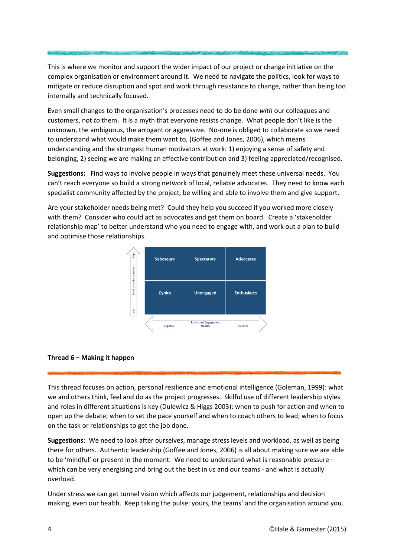This is where we monitor and support the wider impact of our project or change initiative on the complex organisation or environment around it. We need to navigate the politics, look for ways to mitigate or reduce disruption and spot and work through resistance to change, rather than being too internally and technically focused.

Even small changes to the organisation's processes need to do be done *with* our colleagues and customers, not *to* them. It is a myth that everyone resists change. What people don't like is the unknown, the ambiguous, the arrogant or aggressive. No-one is obliged to collaborate so we need to understand what would make them want to, (Goffee and Jones, 2006), which means understanding and the strongest human motivators at work: 1) enjoying a sense of safety and belonging, 2) seeing we are making an effective contribution and 3) feeling appreciated/recognised.

**Suggestions:** Find ways to involve people in ways that genuinely meet these universal needs. You can't reach everyone so build a strong network of local, reliable advocates. They need to know each specialist community affected by the project, be willing and able to involve them and give support.

Are your stakeholder needs being met? Could they help you succeed if you worked more closely with them? Consider who could act as advocates and get them on board. Create a 'stakeholder relationship map' to better understand who you need to engage with, and work out a plan to build and optimise those relationships.





This thread focuses on action, personal resilience and emotional intelligence (Goleman, 1999): what we and others think, feel and do as the project progresses. Skilful use of different leadership styles and roles in different situations is key (Dulewicz & Higgs 2003): when to push for action and when to open up the debate; when to set the pace yourself and when to coach others to lead; when to focus on the task or relationships to get the job done.

**Suggestions**: We need to look after ourselves, manage stress levels and workload, as well as being there for others. Authentic leadership (Goffee and Jones, 2006) is all about making sure we are able to be 'mindful' or present in the moment. We need to understand what is reasonable pressure – which can be very energising and bring out the best in us and our teams - and what is actually overload.

Under stress we can get tunnel vision which affects our judgement, relationships and decision making, even our health. Keep taking the pulse: yours, the teams' and the organisation around you.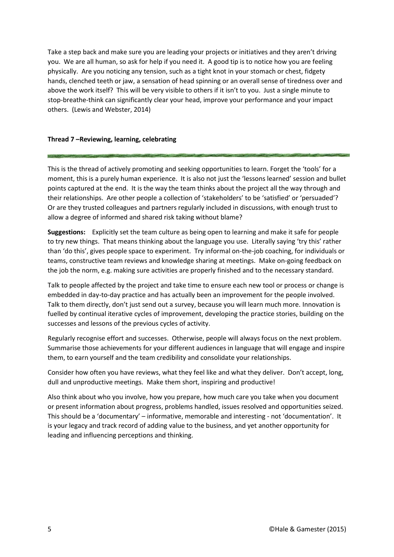Take a step back and make sure you are leading your projects or initiatives and they aren't driving you. We are all human, so ask for help if you need it. A good tip is to notice how you are feeling physically. Are you noticing any tension, such as a tight knot in your stomach or chest, fidgety hands, clenched teeth or jaw, a sensation of head spinning or an overall sense of tiredness over and above the work itself? This will be very visible to others if it isn't to you. Just a single minute to stop-breathe-think can significantly clear your head, improve your performance and your impact others. (Lewis and Webster, 2014)

## **Thread 7 –Reviewing, learning, celebrating**

This is the thread of actively promoting and seeking opportunities to learn. Forget the 'tools' for a moment, this is a purely human experience. It is also not just the 'lessons learned' session and bullet points captured at the end. It is the way the team thinks about the project all the way through and their relationships. Are other people a collection of 'stakeholders' to be 'satisfied' or 'persuaded'? Or are they trusted colleagues and partners regularly included in discussions, with enough trust to allow a degree of informed and shared risk taking without blame?

**Suggestions:** Explicitly set the team culture as being open to learning and make it safe for people to try new things. That means thinking about the language you use. Literally saying 'try this' rather than 'do this', gives people space to experiment. Try informal on-the-job coaching, for individuals or teams, constructive team reviews and knowledge sharing at meetings. Make on-going feedback on the job the norm, e.g. making sure activities are properly finished and to the necessary standard.

Talk to people affected by the project and take time to ensure each new tool or process or change is embedded in day-to-day practice and has actually been an improvement for the people involved. Talk to them directly, don't just send out a survey, because you will learn much more. Innovation is fuelled by continual iterative cycles of improvement, developing the practice stories, building on the successes and lessons of the previous cycles of activity.

Regularly recognise effort and successes. Otherwise, people will always focus on the next problem. Summarise those achievements for your different audiences in language that will engage and inspire them, to earn yourself and the team credibility and consolidate your relationships.

Consider how often you have reviews, what they feel like and what they deliver. Don't accept, long, dull and unproductive meetings. Make them short, inspiring and productive!

Also think about who you involve, how you prepare, how much care you take when you document or present information about progress, problems handled, issues resolved and opportunities seized. This should be a 'documentary' – informative, memorable and interesting - not 'documentation'. It is your legacy and track record of adding value to the business, and yet another opportunity for leading and influencing perceptions and thinking.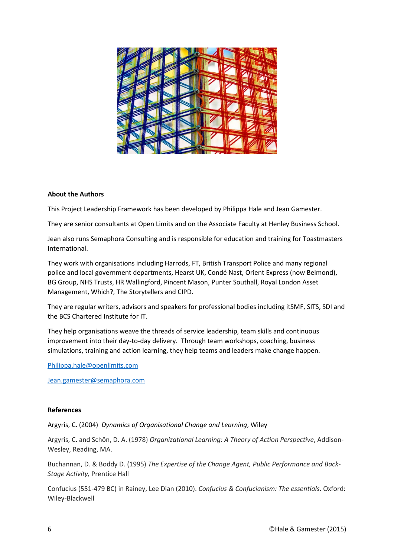

## **About the Authors**

This Project Leadership Framework has been developed by Philippa Hale and Jean Gamester.

They are senior consultants at Open Limits and on the Associate Faculty at Henley Business School.

Jean also runs Semaphora Consulting and is responsible for education and training for Toastmasters International.

They work with organisations including Harrods, FT, British Transport Police and many regional police and local government departments, Hearst UK, Condé Nast, Orient Express (now Belmond), BG Group, NHS Trusts, HR Wallingford, Pincent Mason, Punter Southall, Royal London Asset Management, Which?, The Storytellers and CIPD.

They are regular writers, advisors and speakers for professional bodies including itSMF, SITS, SDI and the BCS Chartered Institute for IT.

They help organisations weave the threads of service leadership, team skills and continuous improvement into their day-to-day delivery. Through team workshops, coaching, business simulations, training and action learning, they help teams and leaders make change happen.

[Philippa.hale@openlimits.com](mailto:Philippa.hale@openlimits.com) 

[Jean.](mailto:Jean.gamester@openlimits.com)gamester@semaphora.com

## **References**

Argyris, C. (2004) *Dynamics of Organisational Change and Learning*, Wiley

Argyris, C. and Schön, D. A. (1978) *Organizational Learning: A Theory of Action Perspective*, Addison-Wesley, Reading, MA.

Buchannan, D. & Boddy D. (1995) *The Expertise of the Change Agent, Public Performance and Back-Stage Activity,* Prentice Hall

Confucius (551-479 BC) in Rainey, Lee Dian (2010). *Confucius & Confucianism: The essentials*. Oxford: Wiley-Blackwell